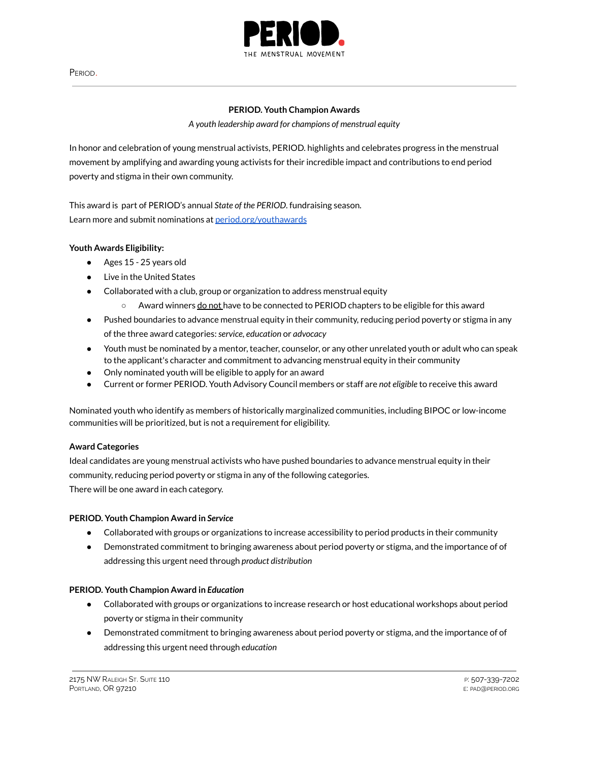

PERIOD.

### **PERIOD. Youth Champion Awards**

### *A youth leadership award for champions of menstrual equity*

In honor and celebration of young menstrual activists, PERIOD. highlights and celebrates progress in the menstrual movement by amplifying and awarding young activists for their incredible impact and contributions to end period poverty and stigma in their own community.

This award is part of PERIOD's annual *State of the PERIOD*. fundraising season. Learn more and submit nominations at [period.org/youthawards](http://period.org/youthawards)

# **Youth Awards Eligibility:**

- Ages 15 25 years old
- Live in the United States
- Collaborated with a club, group or organization to address menstrual equity
	- $\circ$  Award winners do not have to be connected to PERIOD chapters to be eligible for this award
- Pushed boundaries to advance menstrual equity in their community, reducing period poverty or stigma in any of the three award categories:*service, education* or *advocacy*
- Youth must be nominated by a mentor, teacher, counselor, or any other unrelated youth or adult who can speak to the applicant's character and commitment to advancing menstrual equity in their community
- Only nominated youth will be eligible to apply for an award
- Current or former PERIOD. Youth Advisory Council members or staff are *not eligible* to receive this award

Nominated youth who identify as members of historically marginalized communities, including BIPOC or low-income communities will be prioritized, but is not a requirement for eligibility.

# **Award Categories**

Ideal candidates are young menstrual activists who have pushed boundaries to advance menstrual equity in their community, reducing period poverty or stigma in any of the following categories.

There will be one award in each category.

# **PERIOD. Youth Champion Award in** *Service*

- Collaborated with groups or organizations to increase accessibility to period products in their community
- Demonstrated commitment to bringing awareness about period poverty or stigma, and the importance of of addressing this urgent need through *product distribution*

# **PERIOD. Youth Champion Award in** *Education*

- Collaborated with groups or organizations to increase research or host educational workshops about period poverty or stigma in their community
- Demonstrated commitment to bringing awareness about period poverty or stigma, and the importance of of addressing this urgent need through *education*